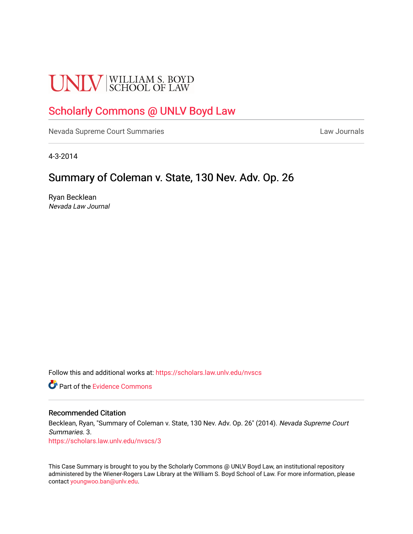# **UNLV** SCHOOL OF LAW

## [Scholarly Commons @ UNLV Boyd Law](https://scholars.law.unlv.edu/)

[Nevada Supreme Court Summaries](https://scholars.law.unlv.edu/nvscs) **Law Journals** Law Journals

4-3-2014

## Summary of Coleman v. State, 130 Nev. Adv. Op. 26

Ryan Becklean Nevada Law Journal

Follow this and additional works at: [https://scholars.law.unlv.edu/nvscs](https://scholars.law.unlv.edu/nvscs?utm_source=scholars.law.unlv.edu%2Fnvscs%2F3&utm_medium=PDF&utm_campaign=PDFCoverPages)

**C** Part of the Evidence Commons

#### Recommended Citation

Becklean, Ryan, "Summary of Coleman v. State, 130 Nev. Adv. Op. 26" (2014). Nevada Supreme Court Summaries. 3.

[https://scholars.law.unlv.edu/nvscs/3](https://scholars.law.unlv.edu/nvscs/3?utm_source=scholars.law.unlv.edu%2Fnvscs%2F3&utm_medium=PDF&utm_campaign=PDFCoverPages) 

This Case Summary is brought to you by the Scholarly Commons @ UNLV Boyd Law, an institutional repository administered by the Wiener-Rogers Law Library at the William S. Boyd School of Law. For more information, please contact [youngwoo.ban@unlv.edu](mailto:youngwoo.ban@unlv.edu).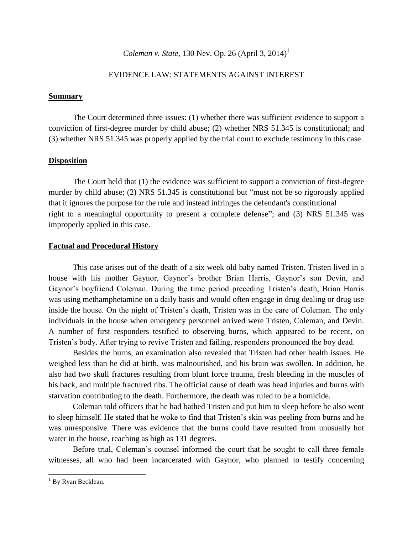### *Coleman v. State*, 130 Nev. Op. 26 (April 3, 2014)<sup>1</sup>

#### EVIDENCE LAW: STATEMENTS AGAINST INTEREST

#### **Summary**

The Court determined three issues: (1) whether there was sufficient evidence to support a conviction of first-degree murder by child abuse; (2) whether NRS 51.345 is constitutional; and (3) whether NRS 51.345 was properly applied by the trial court to exclude testimony in this case.

#### **Disposition**

The Court held that (1) the evidence was sufficient to support a conviction of first-degree murder by child abuse; (2) NRS 51.345 is constitutional but "must not be so rigorously applied that it ignores the purpose for the rule and instead infringes the defendant's constitutional right to a meaningful opportunity to present a complete defense"; and (3) NRS 51.345 was improperly applied in this case.

#### **Factual and Procedural History**

This case arises out of the death of a six week old baby named Tristen. Tristen lived in a house with his mother Gaynor, Gaynor's brother Brian Harris, Gaynor's son Devin, and Gaynor's boyfriend Coleman. During the time period preceding Tristen's death, Brian Harris was using methamphetamine on a daily basis and would often engage in drug dealing or drug use inside the house. On the night of Tristen's death, Tristen was in the care of Coleman. The only individuals in the house when emergency personnel arrived were Tristen, Coleman, and Devin. A number of first responders testified to observing burns, which appeared to be recent, on Tristen's body. After trying to revive Tristen and failing, responders pronounced the boy dead.

Besides the burns, an examination also revealed that Tristen had other health issues. He weighed less than he did at birth, was malnourished, and his brain was swollen. In addition, he also had two skull fractures resulting from blunt force trauma, fresh bleeding in the muscles of his back, and multiple fractured ribs. The official cause of death was head injuries and burns with starvation contributing to the death. Furthermore, the death was ruled to be a homicide.

Coleman told officers that he had bathed Tristen and put him to sleep before he also went to sleep himself. He stated that he woke to find that Tristen's skin was peeling from burns and he was unresponsive. There was evidence that the burns could have resulted from unusually hot water in the house, reaching as high as 131 degrees.

Before trial, Coleman's counsel informed the court that he sought to call three female witnesses, all who had been incarcerated with Gaynor, who planned to testify concerning

l

 $1$  By Ryan Becklean.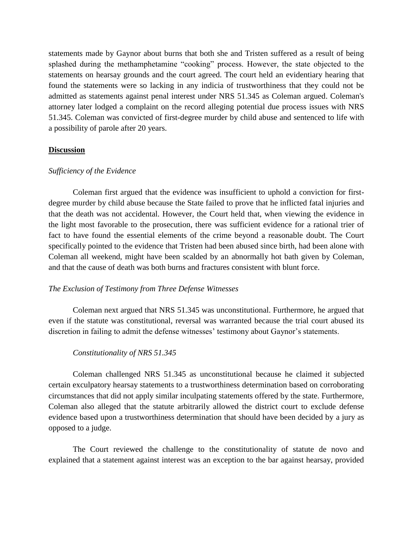statements made by Gaynor about burns that both she and Tristen suffered as a result of being splashed during the methamphetamine "cooking" process. However, the state objected to the statements on hearsay grounds and the court agreed. The court held an evidentiary hearing that found the statements were so lacking in any indicia of trustworthiness that they could not be admitted as statements against penal interest under NRS 51.345 as Coleman argued. Coleman's attorney later lodged a complaint on the record alleging potential due process issues with NRS 51.345. Coleman was convicted of first-degree murder by child abuse and sentenced to life with a possibility of parole after 20 years.

#### **Discussion**

#### *Sufficiency of the Evidence*

Coleman first argued that the evidence was insufficient to uphold a conviction for firstdegree murder by child abuse because the State failed to prove that he inflicted fatal injuries and that the death was not accidental. However, the Court held that, when viewing the evidence in the light most favorable to the prosecution, there was sufficient evidence for a rational trier of fact to have found the essential elements of the crime beyond a reasonable doubt. The Court specifically pointed to the evidence that Tristen had been abused since birth, had been alone with Coleman all weekend, might have been scalded by an abnormally hot bath given by Coleman, and that the cause of death was both burns and fractures consistent with blunt force.

#### *The Exclusion of Testimony from Three Defense Witnesses*

Coleman next argued that NRS 51.345 was unconstitutional. Furthermore, he argued that even if the statute was constitutional, reversal was warranted because the trial court abused its discretion in failing to admit the defense witnesses' testimony about Gaynor's statements.

#### *Constitutionality of NRS 51.345*

Coleman challenged NRS 51.345 as unconstitutional because he claimed it subjected certain exculpatory hearsay statements to a trustworthiness determination based on corroborating circumstances that did not apply similar inculpating statements offered by the state. Furthermore, Coleman also alleged that the statute arbitrarily allowed the district court to exclude defense evidence based upon a trustworthiness determination that should have been decided by a jury as opposed to a judge.

The Court reviewed the challenge to the constitutionality of statute de novo and explained that a statement against interest was an exception to the bar against hearsay, provided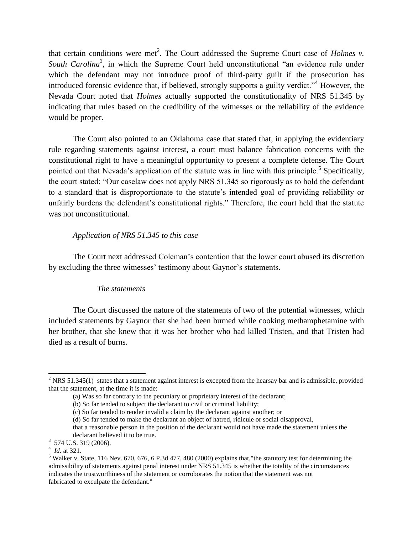that certain conditions were met<sup>2</sup>. The Court addressed the Supreme Court case of *Holmes v*. South Carolina<sup>3</sup>, in which the Supreme Court held unconstitutional "an evidence rule under which the defendant may not introduce proof of third-party guilt if the prosecution has introduced forensic evidence that, if believed, strongly supports a guilty verdict.<sup>34</sup> However, the Nevada Court noted that *Holmes* actually supported the constitutionality of NRS 51.345 by indicating that rules based on the credibility of the witnesses or the reliability of the evidence would be proper.

The Court also pointed to an Oklahoma case that stated that, in applying the evidentiary rule regarding statements against interest, a court must balance fabrication concerns with the constitutional right to have a meaningful opportunity to present a complete defense. The Court pointed out that Nevada's application of the statute was in line with this principle.<sup>5</sup> Specifically, the court stated: "Our caselaw does not apply NRS 51.345 so rigorously as to hold the defendant to a standard that is disproportionate to the statute's intended goal of providing reliability or unfairly burdens the defendant's constitutional rights." Therefore, the court held that the statute was not unconstitutional.

#### *Application of NRS 51.345 to this case*

The Court next addressed Coleman's contention that the lower court abused its discretion by excluding the three witnesses' testimony about Gaynor's statements.

#### *The statements*

The Court discussed the nature of the statements of two of the potential witnesses, which included statements by Gaynor that she had been burned while cooking methamphetamine with her brother, that she knew that it was her brother who had killed Tristen, and that Tristen had died as a result of burns.

l

 $2$  NRS 51.345(1) states that a statement against interest is excepted from the hearsay bar and is admissible, provided that the statement, at the time it is made:

<sup>(</sup>a) Was so far contrary to the pecuniary or proprietary interest of the declarant;

<sup>(</sup>b) So far tended to subject the declarant to civil or criminal liability;

<sup>(</sup>c) So far tended to render invalid a claim by the declarant against another; or

<sup>(</sup>d) So far tended to make the declarant an object of hatred, ridicule or social disapproval,

that a reasonable person in the position of the declarant would not have made the statement unless the declarant believed it to be true.

 $3\,$  574 U.S. 319 (2006).

<sup>4</sup> *Id.* at 321.

 $5$  Walker v. State, 116 Nev. 670, 676, 6 P.3d 477, 480 (2000) explains that, the statutory test for determining the admissibility of statements against penal interest under NRS 51.345 is whether the totality of the circumstances indicates the trustworthiness of the statement or corroborates the notion that the statement was not fabricated to exculpate the defendant."